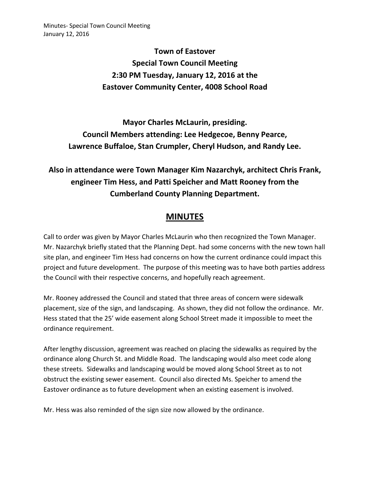Minutes- Special Town Council Meeting January 12, 2016

> **Town of Eastover Special Town Council Meeting 2:30 PM Tuesday, January 12, 2016 at the Eastover Community Center, 4008 School Road**

**Mayor Charles McLaurin, presiding. Council Members attending: Lee Hedgecoe, Benny Pearce, Lawrence Buffaloe, Stan Crumpler, Cheryl Hudson, and Randy Lee.** 

## **Also in attendance were Town Manager Kim Nazarchyk, architect Chris Frank, engineer Tim Hess, and Patti Speicher and Matt Rooney from the Cumberland County Planning Department.**

## **MINUTES**

Call to order was given by Mayor Charles McLaurin who then recognized the Town Manager. Mr. Nazarchyk briefly stated that the Planning Dept. had some concerns with the new town hall site plan, and engineer Tim Hess had concerns on how the current ordinance could impact this project and future development. The purpose of this meeting was to have both parties address the Council with their respective concerns, and hopefully reach agreement.

Mr. Rooney addressed the Council and stated that three areas of concern were sidewalk placement, size of the sign, and landscaping. As shown, they did not follow the ordinance. Mr. Hess stated that the 25' wide easement along School Street made it impossible to meet the ordinance requirement.

After lengthy discussion, agreement was reached on placing the sidewalks as required by the ordinance along Church St. and Middle Road. The landscaping would also meet code along these streets. Sidewalks and landscaping would be moved along School Street as to not obstruct the existing sewer easement. Council also directed Ms. Speicher to amend the Eastover ordinance as to future development when an existing easement is involved.

Mr. Hess was also reminded of the sign size now allowed by the ordinance.